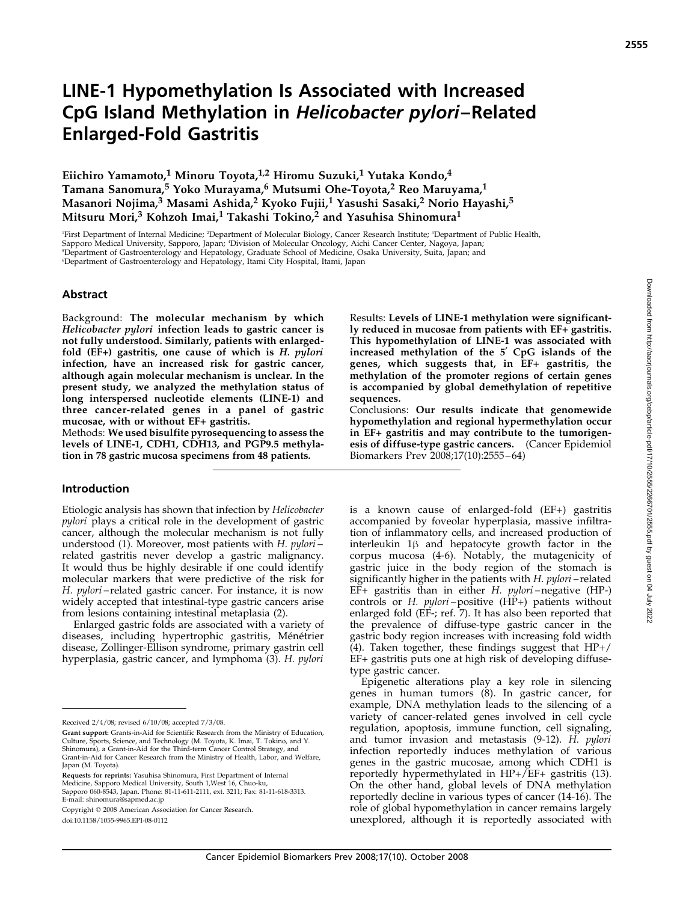# LINE-1 Hypomethylation Is Associated with Increased CpG Island Methylation in Helicobacter pylori–Related Enlarged-Fold Gastritis

Eiichiro Yamamoto,<sup>1</sup> Minoru Toyota,<sup>1,2</sup> Hiromu Suzuki,<sup>1</sup> Yutaka Kondo,<sup>4</sup> Tamana Sanomura,<sup>5</sup> Yoko Murayama,<sup>6</sup> Mutsumi Ohe-Toyota,<sup>2</sup> Reo Maruyama,<sup>1</sup> Masanori Nojima,<sup>3</sup> Masami Ashida,<sup>2</sup> Kyoko Fujii,<sup>1</sup> Yasushi Sasaki,<sup>2</sup> Norio Hayashi,<sup>5</sup> Mitsuru Mori,<sup>3</sup> Kohzoh Imai,<sup>1</sup> Takashi Tokino,<sup>2</sup> and Yasuhisa Shinomura<sup>1</sup>

'First Department of Internal Medicine; <sup>2</sup>Department of Molecular Biology, Cancer Research Institute; <sup>3</sup>Department of Public Health, Sapporo Medical University, Sapporo, Japan; <sup>4</sup> Division of Molecular Oncology, Aichi Cancer Center, Nagoya, Japan; 5 Department of Gastroenterology and Hepatology, Graduate School of Medicine, Osaka University, Suita, Japan; and 6 Department of Gastroenterology and Hepatology, Itami City Hospital, Itami, Japan

#### Abstract

Background: The molecular mechanism by which Helicobacter pylori infection leads to gastric cancer is not fully understood. Similarly, patients with enlargedfold (EF+) gastritis, one cause of which is H. pylori infection, have an increased risk for gastric cancer, although again molecular mechanism is unclear. In the present study, we analyzed the methylation status of long interspersed nucleotide elements (LINE-1) and three cancer-related genes in a panel of gastric mucosae, with or without EF+ gastritis.

Methods: We used bisulfite pyrosequencing to assess the levels of LINE-1, CDH1, CDH13, and PGP9.5 methylation in 78 gastric mucosa specimens from 48 patients.

#### Introduction

Etiologic analysis has shown that infection by Helicobacter pylori plays a critical role in the development of gastric cancer, although the molecular mechanism is not fully understood (1). Moreover, most patients with H. pylori – related gastritis never develop a gastric malignancy. It would thus be highly desirable if one could identify molecular markers that were predictive of the risk for H. pylori – related gastric cancer. For instance, it is now widely accepted that intestinal-type gastric cancers arise from lesions containing intestinal metaplasia (2).

Enlarged gastric folds are associated with a variety of diseases, including hypertrophic gastritis, Ménétrier disease, Zollinger-Ellison syndrome, primary gastrin cell hyperplasia, gastric cancer, and lymphoma (3). H. pylori

Requests for reprints: Yasuhisa Shinomura, First Department of Internal Medicine, Sapporo Medical University, South 1,West 16, Chuo-ku, Sapporo 060-8543, Japan. Phone: 81-11-611-2111, ext. 3211; Fax: 81-11-618-3313. E-mail: shinomura@sapmed.ac.jp

Copyright © 2008 American Association for Cancer Research.

doi:10.1158/1055-9965.EPI-08-0112

Results: Levels of LINE-1 methylation were significantly reduced in mucosae from patients with EF+ gastritis. This hypomethylation of LINE-1 was associated with increased methylation of the 5' CpG islands of the genes, which suggests that, in EF+ gastritis, the methylation of the promoter regions of certain genes is accompanied by global demethylation of repetitive sequences.

Conclusions: Our results indicate that genomewide hypomethylation and regional hypermethylation occur in EF+ gastritis and may contribute to the tumorigenesis of diffuse-type gastric cancers. (Cancer Epidemiol Biomarkers Prev 2008;17(10):2555 – 64)

is a known cause of enlarged-fold (EF+) gastritis accompanied by foveolar hyperplasia, massive infiltration of inflammatory cells, and increased production of interleukin  $1\beta$  and hepatocyte growth factor in the corpus mucosa (4-6). Notably, the mutagenicity of gastric juice in the body region of the stomach is significantly higher in the patients with H. pylori-related EF+ gastritis than in either H. pylori –negative (HP-) controls or H. pylori-positive (HP+) patients without enlarged fold (EF-; ref. 7). It has also been reported that the prevalence of diffuse-type gastric cancer in the gastric body region increases with increasing fold width  $(4)$ . Taken together, these findings suggest that HP+/ EF+ gastritis puts one at high risk of developing diffusetype gastric cancer.

Epigenetic alterations play a key role in silencing genes in human tumors (8). In gastric cancer, for example, DNA methylation leads to the silencing of a variety of cancer-related genes involved in cell cycle regulation, apoptosis, immune function, cell signaling, and tumor invasion and metastasis (9-12). H. pylori infection reportedly induces methylation of various genes in the gastric mucosae, among which CDH1 is reportedly hypermethylated in HP+/EF+ gastritis (13). On the other hand, global levels of DNA methylation reportedly decline in various types of cancer (14-16). The role of global hypomethylation in cancer remains largely unexplored, although it is reportedly associated with

Received 2/4/08; revised 6/10/08; accepted 7/3/08.

Grant support: Grants-in-Aid for Scientific Research from the Ministry of Education, Culture, Sports, Science, and Technology (M. Toyota, K. Imai, T. Tokino, and Y. Shinomura), a Grant-in-Aid for the Third-term Cancer Control Strategy, and Grant-in-Aid for Cancer Research from the Ministry of Health, Labor, and Welfare, Japan (M. Toyota).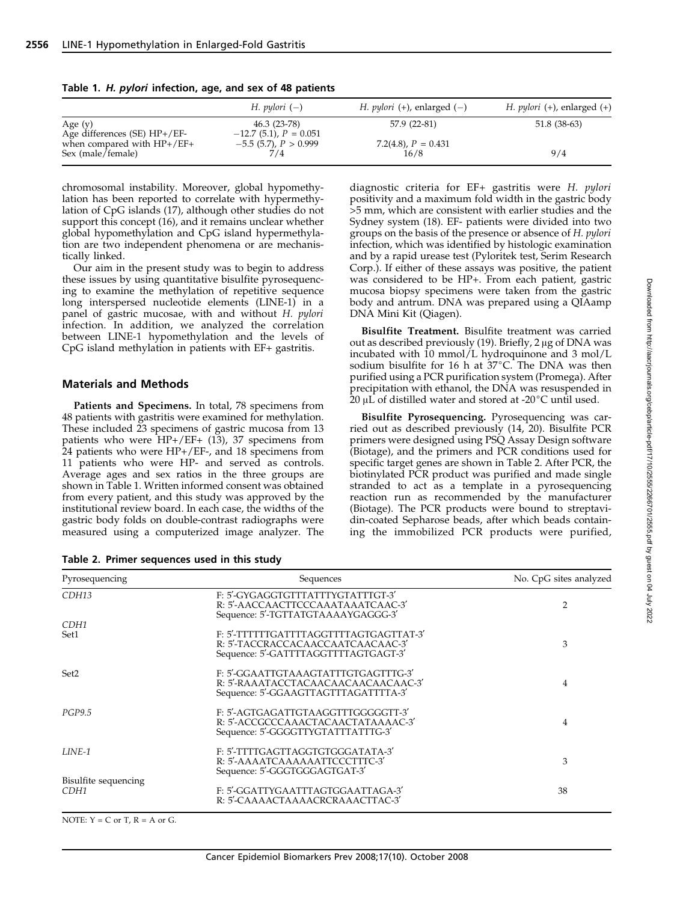|                                                   | H. pylori $(-)$                            | H. <i>pylori</i> (+), enlarged (-) | H. <i>pylori</i> $(+)$ , enlarged $(+)$ |
|---------------------------------------------------|--------------------------------------------|------------------------------------|-----------------------------------------|
| Age (y)<br>Age differences $(SE) HP+/EF-$         | 46.3 (23-78)<br>$-12.7$ (5.1), $P = 0.051$ | 57.9 (22-81)                       | 51.8 (38-63)                            |
| when compared with $HP+/EF+$<br>Sex (male/female) | $-5.5$ (5.7), $P > 0.999$                  | 7.2(4.8), $P = 0.431$<br>16/8      | 9/4                                     |

Table 1. H. pylori infection, age, and sex of 48 patients

chromosomal instability. Moreover, global hypomethylation has been reported to correlate with hypermethylation of CpG islands (17), although other studies do not support this concept (16), and it remains unclear whether global hypomethylation and CpG island hypermethylation are two independent phenomena or are mechanistically linked.

Our aim in the present study was to begin to address these issues by using quantitative bisulfite pyrosequencing to examine the methylation of repetitive sequence long interspersed nucleotide elements (LINE-1) in a panel of gastric mucosae, with and without H. pylori infection. In addition, we analyzed the correlation between LINE-1 hypomethylation and the levels of CpG island methylation in patients with EF+ gastritis.

#### Materials and Methods

Patients and Specimens. In total, 78 specimens from 48 patients with gastritis were examined for methylation. These included 23 specimens of gastric mucosa from 13 patients who were  $HP+/EF+$  (13), 37 specimens from 24 patients who were HP+/EF-, and 18 specimens from 11 patients who were HP- and served as controls. Average ages and sex ratios in the three groups are shown in Table 1. Written informed consent was obtained from every patient, and this study was approved by the institutional review board. In each case, the widths of the gastric body folds on double-contrast radiographs were measured using a computerized image analyzer. The

Table 2. Primer sequences used in this study

diagnostic criteria for EF+ gastritis were H. pylori positivity and a maximum fold width in the gastric body >5 mm, which are consistent with earlier studies and the Sydney system (18). EF- patients were divided into two groups on the basis of the presence or absence of H. pylori infection, which was identified by histologic examination and by a rapid urease test (Pyloritek test, Serim Research Corp.). If either of these assays was positive, the patient was considered to be HP+. From each patient, gastric mucosa biopsy specimens were taken from the gastric body and antrum. DNA was prepared using a QIAamp DNA Mini Kit (Qiagen).

Bisulfite Treatment. Bisulfite treatment was carried out as described previously  $(19)$ . Briefly, 2  $\mu$ g of DNA was incubated with 10 mmol/L hydroquinone and 3 mol/L sodium bisulfite for 16 h at  $37^{\circ}$ C. The DNA was then purified using a PCR purification system (Promega). After precipitation with ethanol, the DNA was resuspended in 20  $\mu$ L of distilled water and stored at -20 $\degree$ C until used.

Bisulfite Pyrosequencing. Pyrosequencing was carried out as described previously (14, 20). Bisulfite PCR primers were designed using PSQ Assay Design software (Biotage), and the primers and PCR conditions used for specific target genes are shown in Table 2. After PCR, the biotinylated PCR product was purified and made single stranded to act as a template in a pyrosequencing reaction run as recommended by the manufacturer (Biotage). The PCR products were bound to streptavidin-coated Sepharose beads, after which beads containing the immobilized PCR products were purified, Downloaded from http://aacrjournals.org/cebp/article-pdf/17/10/2555/2266701/2555.pdf by guest on 04 July 2022

| Pyrosequencing               | Sequences                                                                                                           | No. CpG sites analyzed |  |
|------------------------------|---------------------------------------------------------------------------------------------------------------------|------------------------|--|
| CDH13                        | F: 5'-GYGAGGTGTTTATTTYGTATTTGT-3'<br>R: 5'-AACCAACTTCCCAAATAAATCAAC-3'<br>Sequence: 5'-TGTTATGTAAAAYGAGGG-3'        | $\overline{2}$         |  |
| CDH <sub>1</sub><br>Set1     | F: 5'-TTTTTTGATTTTAGGTTTTAGTGAGTTAT-3'<br>R: 5'-TACCRACCACAACCAATCAACAAC-3'<br>Sequence: 5'-GATTTTAGGTTTTAGTGAGT-3' | 3                      |  |
| Set2                         | F: 5'-GGAATTGTAAAGTATTTGTGAGTTTG-3'<br>R: 5'-RAAATACCTACAACAACAACAACAAC-3'<br>Sequence: 5'-GGAAGTTAGTTTAGATTTTA-3'  | 4                      |  |
| <b>PGP9.5</b>                | F: 5'-AGTGAGATTGTAAGGTTTGGGGGTT-3'<br>R: 5'-ACCGCCCAAACTACAACTATAAAAC-3'<br>Sequence: 5'-GGGGTTYGTATTTATTTG-3'      | 4                      |  |
| LINE-1                       | F: 5'-TTTTGAGTTAGGTGTGGGATATA-3'<br>R: 5'-AAAATCAAAAAATTCCCTTTC-3'<br>Sequence: 5'-GGGTGGGAGTGAT-3'                 | 3                      |  |
| Bisulfite sequencing<br>CDH1 | F: 5'-GGATTYGAATTTAGTGGAATTAGA-3'<br>R: 5'-CAAAACTAAAACRCRAAACTTAC-3'                                               | 38                     |  |

NOTE:  $Y = C$  or  $T$ ,  $R = A$  or  $G$ .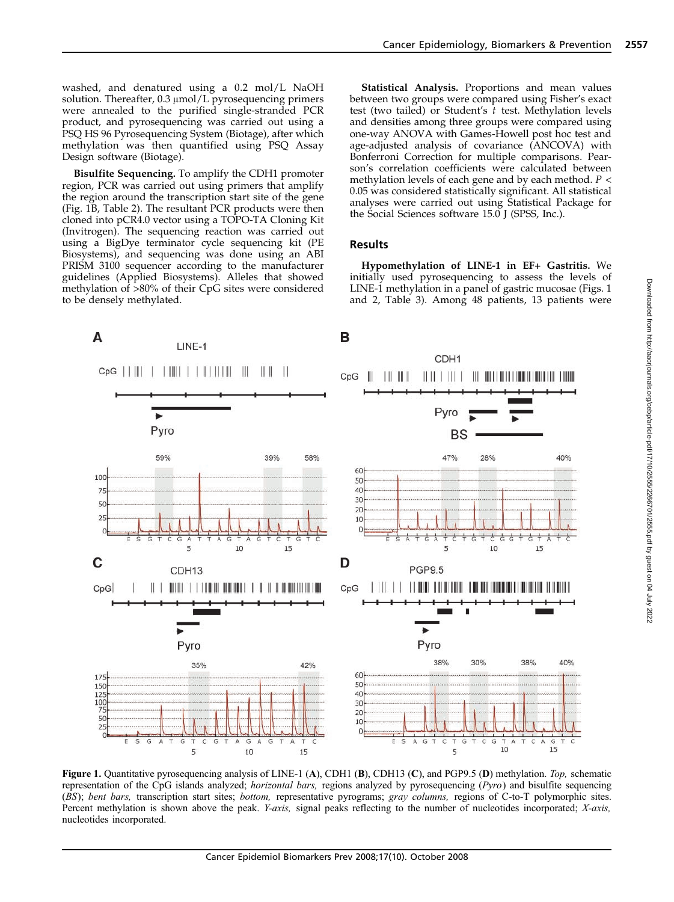washed, and denatured using a 0.2 mol/L NaOH solution. Thereafter,  $0.3 \mu$ mol/L pyrosequencing primers were annealed to the purified single-stranded PCR product, and pyrosequencing was carried out using a PSQ HS 96 Pyrosequencing System (Biotage), after which methylation was then quantified using PSQ Assay Design software (Biotage).

Bisulfite Sequencing. To amplify the CDH1 promoter region, PCR was carried out using primers that amplify the region around the transcription start site of the gene (Fig. 1B, Table 2). The resultant PCR products were then cloned into pCR4.0 vector using a TOPO-TA Cloning Kit (Invitrogen). The sequencing reaction was carried out using a BigDye terminator cycle sequencing kit (PE Biosystems), and sequencing was done using an ABI PRISM 3100 sequencer according to the manufacturer guidelines (Applied Biosystems). Alleles that showed methylation of >80% of their CpG sites were considered to be densely methylated.

Statistical Analysis. Proportions and mean values between two groups were compared using Fisher's exact test (two tailed) or Student's  $\bar{t}$  test. Methylation levels and densities among three groups were compared using one-way ANOVA with Games-Howell post hoc test and age-adjusted analysis of covariance (ANCOVA) with Bonferroni Correction for multiple comparisons. Pearson's correlation coefficients were calculated between methylation levels of each gene and by each method.  $P <$ 0.05 was considered statistically significant. All statistical analyses were carried out using Statistical Package for the Social Sciences software 15.0 J (SPSS, Inc.).

## Results

Hypomethylation of LINE-1 in EF+ Gastritis. We initially used pyrosequencing to assess the levels of LINE-1 methylation in a panel of gastric mucosae (Figs. 1 and 2, Table 3). Among 48 patients, 13 patients were



Figure 1. Quantitative pyrosequencing analysis of LINE-1 (A), CDH1 (B), CDH13 (C), and PGP9.5 (D) methylation. Top, schematic representation of the CpG islands analyzed; *horizontal bars*, regions analyzed by pyrosequencing  $(Pyro)$  and bisulfite sequencing (BS); bent bars, transcription start sites; bottom, representative pyrograms; gray columns, regions of C-to-T polymorphic sites. Percent methylation is shown above the peak. *Y-axis*, signal peaks reflecting to the number of nucleotides incorporated; X-axis, nucleotides incorporated.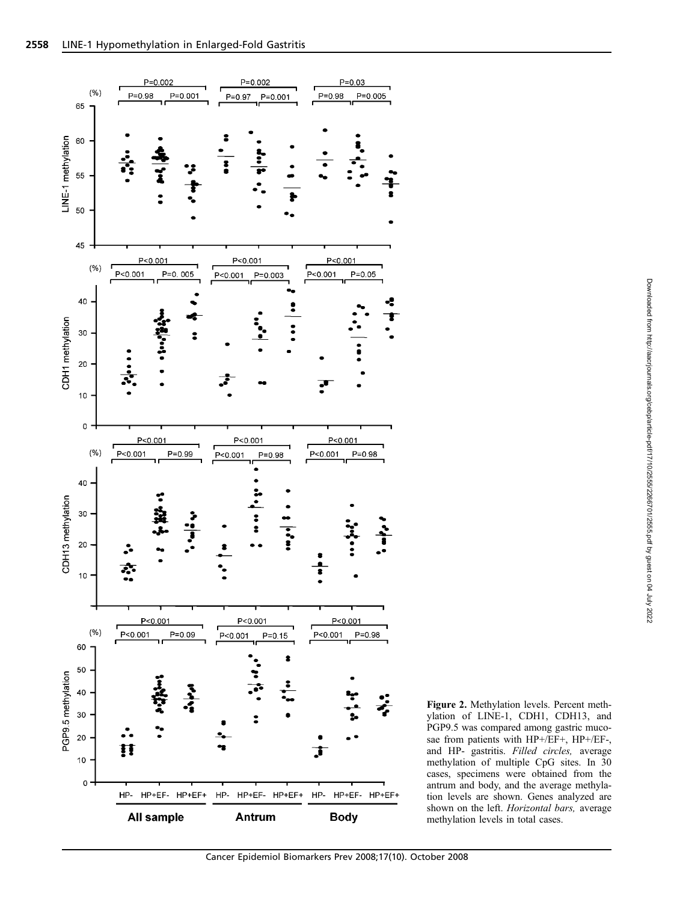

Figure 2. Methylation levels. Percent methylation of LINE-1, CDH1, CDH13, and PGP9.5 was compared among gastric mucosae from patients with HP+/EF+, HP+/EF-, and HP- gastritis. Filled circles, average methylation of multiple CpG sites. In 30 cases, specimens were obtained from the antrum and body, and the average methylation levels are shown. Genes analyzed are shown on the left. Horizontal bars, average methylation levels in total cases.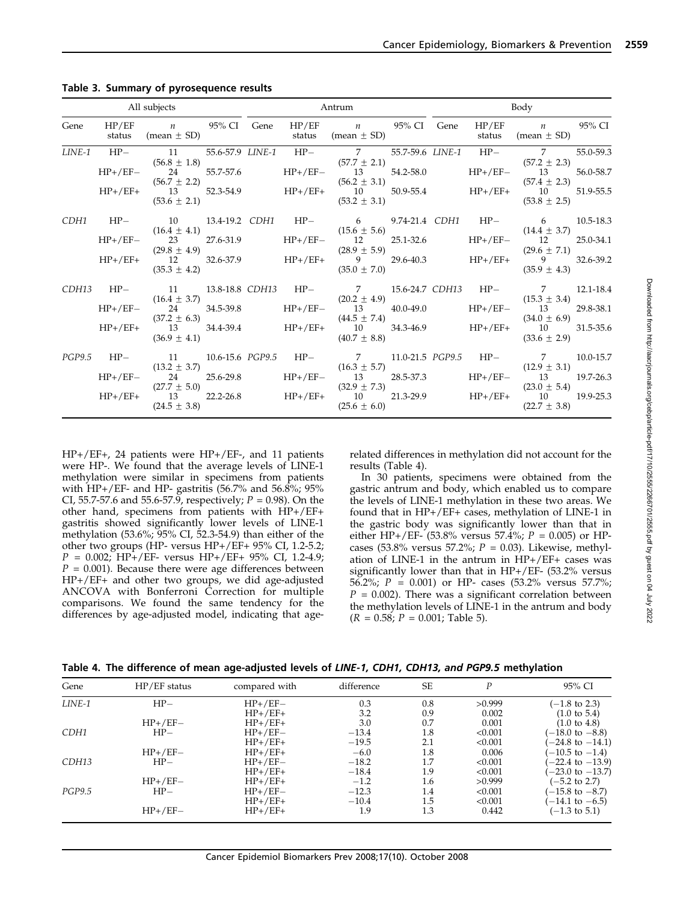| All subjects<br><b>Example 21 Antrum</b> |  |                                                                                                                                                                                                                                                                                  | Body |  |  |  |  |                                               |           |
|------------------------------------------|--|----------------------------------------------------------------------------------------------------------------------------------------------------------------------------------------------------------------------------------------------------------------------------------|------|--|--|--|--|-----------------------------------------------|-----------|
| Gene                                     |  | HP/EF n 95% CI Gene HP/EF n 95% CI Gene HP/EF n 95% CI<br>status (mean $\pm$ SD)                                                                                                                                                                                                 |      |  |  |  |  | status (mean $\pm$ SD) status (mean $\pm$ SD) |           |
|                                          |  | LINE-1 HP- 11 55.6-57.9 LINE-1 HP- 7 55.7-59.6 LINE-1 HP- 7                                                                                                                                                                                                                      |      |  |  |  |  |                                               | 55.0-59.3 |
|                                          |  |                                                                                                                                                                                                                                                                                  |      |  |  |  |  |                                               |           |
|                                          |  | $HP+/EF+$ (56.8 ± 1.8)<br>$HP+/EF+$ (56.7 ± 2.1)<br>$(57.7 \pm 2.1)$<br>$(57.7 \pm 2.1)$<br>$(57.7 \pm 2.1)$<br>$(57.7 \pm 2.1)$<br>$(57.7 \pm 2.1)$<br>$(57.2 \pm 2.3)$<br>$(57.2 \pm 2.3)$<br>$(57.2 \pm 2.3)$<br>$(57.2 \pm 2.3)$<br>$(57.2 \pm 2.3)$<br>$(57.2 \pm 2.3)$<br> |      |  |  |  |  |                                               | 51.9-55.5 |
|                                          |  | CDH1 HP- 10 13.4-19.2 CDH1 HP- 6 9.74-21.4 CDH1 HP- 6 10.5-18.3                                                                                                                                                                                                                  |      |  |  |  |  |                                               |           |
|                                          |  |                                                                                                                                                                                                                                                                                  |      |  |  |  |  |                                               |           |
|                                          |  | $HP+/EF+$ (16.4 ± 4.1)<br>$HP+/EF+$ (29.8 ± 4.9)<br>$HP+/EF+$ (29.6 ± 4.9)<br>$HP+/EF+$ (29.6 ± 7.1)<br>$HP+/EF+$ (29.6 ± 7.1)<br>$HP+/EF+$ (29.6 ± 7.1)<br>$HP+/EF+$ (29.6 ± 7.1)<br>$HP+/EF+$ (29.6 ± 7.1)<br>$HP+/EF+$ (29.6 ± 7.1)<br>$HP+/EF+$ (35.0 ± 7.0)<br>             |      |  |  |  |  |                                               |           |
|                                          |  | CDH13 HP- 11 13.8-18.8 CDH13 HP- 7 15.6-24.7 CDH13 HP- 7 12.1-18.4                                                                                                                                                                                                               |      |  |  |  |  |                                               |           |
|                                          |  |                                                                                                                                                                                                                                                                                  |      |  |  |  |  |                                               |           |
|                                          |  | $HP+/EF-$ (16.4 ± 3.7)<br>$HP+/EF-$ (16.4 ± 3.7)<br>$(37.2 \pm 6.3)$<br>$HP+/EF+$ 13 34.4-39.4<br>$(36.9 \pm 4.1)$<br>$(36.9 \pm 4.1)$<br>$(36.9 \pm 4.1)$<br>$HP+/EF+$ 10 34.3-46.9<br>$HP+/EF+$ 10 34.3-46.9<br>$(40.7 \pm 8.8)$<br>$(40.7 \pm 8.8)$<br>$(40.7 \pm 8.8)$<br>   |      |  |  |  |  |                                               |           |
|                                          |  | PGP9.5 HP- 11 10.6-15.6 PGP9.5 HP- 7 11.0-21.5 PGP9.5 HP- 7 10.0-15.7                                                                                                                                                                                                            |      |  |  |  |  |                                               |           |
|                                          |  |                                                                                                                                                                                                                                                                                  |      |  |  |  |  |                                               |           |
|                                          |  | $HP+/EF+$ (13.2 ± 3.7)<br>$HP+/EF+$ (14.3 ± 3.7)<br>$(12.9 \pm 3.1)$<br>$(12.9 \pm 3.1)$<br>$(12.9 \pm 3.1)$<br>$(12.9 \pm 3.1)$<br>$(12.9 \pm 3.1)$<br>$(12.9 \pm 3.1)$<br>$(12.9 \pm 3.1)$<br>$(12.9 \pm 3.1)$<br>$(12.9 \pm 3.1)$<br>$(12.9 \pm 3.1)$<br>$(12.9 \pm 3.1)$<br> |      |  |  |  |  |                                               |           |

Table 3. Summary of pyrosequence results

HP+/EF+, 24 patients were HP+/EF-, and 11 patients were HP-. We found that the average levels of LINE-1 methylation were similar in specimens from patients with HP+/EF- and HP- gastritis (56.7% and 56.8%; 95% CI, 55.7-57.6 and 55.6-57.9, respectively;  $P = 0.98$ ). On the other hand, specimens from patients with HP+/EF+ gastritis showed significantly lower levels of LINE-1 methylation (53.6%; 95% CI, 52.3-54.9) than either of the other two groups (HP- versus HP+/EF+ 95% CI, 1.2-5.2;  $P = 0.002$ ; HP+/EF- versus HP+/EF+ 95% CI, 1.2-4.9;  $P = 0.001$ ). Because there were age differences between HP+/EF+ and other two groups, we did age-adjusted ANCOVA with Bonferroni Correction for multiple comparisons. We found the same tendency for the differences by age-adjusted model, indicating that agerelated differences in methylation did not account for the results (Table 4).

In 30 patients, specimens were obtained from the gastric antrum and body, which enabled us to compare the levels of LINE-1 methylation in these two areas. We found that in HP+/EF+ cases, methylation of LINE-1 in the gastric body was significantly lower than that in either HP+/EF- (53.8% versus 57.4%;  $P = 0.005$ ) or HPcases (53.8% versus 57.2%;  $P = 0.03$ ). Likewise, methylation of LINE-1 in the antrum in HP+/EF+ cases was significantly lower than that in HP+/EF- (53.2% versus 56.2%;  $P = 0.001$ ) or HP- cases (53.2% versus 57.7%;  $P = 0.002$ ). There was a significant correlation between the methylation levels of LINE-1 in the antrum and body  $(R = 0.58; P = 0.001;$  Table 5).

| Table 4. The difference of mean age-adjusted levels of LINE-1, CDH1, CDH13, and PGP9.5 methylation |
|----------------------------------------------------------------------------------------------------|
|----------------------------------------------------------------------------------------------------|

| Gene   | $HP/EF$ status | compared with | difference | <b>SE</b> | P       | 95% CI                      |
|--------|----------------|---------------|------------|-----------|---------|-----------------------------|
| LINE-1 | $HP-$          | $HP+/EF-$     | 0.3        | 0.8       | >0.999  | $(-1.8 \text{ to } 2.3)$    |
|        |                | $HP+/EF+$     | 3.2        | 0.9       | 0.002   | $(1.0 \text{ to } 5.4)$     |
|        | $HP+/EF-$      | $HP+/EF+$     | 3.0        | 0.7       | 0.001   | $(1.0 \text{ to } 4.8)$     |
| CDH1   | $HP-$          | $HP+/EF-$     | $-13.4$    | 1.8       | < 0.001 | $-18.0 \text{ to } -8.8$    |
|        |                | $HP+/EF+$     | $-19.5$    | 2.1       | < 0.001 | $-24.8$ to $-14.1$ )        |
|        | $HP+/EF-$      | $HP+/EF+$     | $-6.0$     | 1.8       | 0.006   | $-10.5$ to $-1.4$ )         |
| CDH13  | $HP-$          | $HP+/EF-$     | $-18.2$    | 1.7       | < 0.001 | $-22.4$ to $-13.9$          |
|        |                | $HP+/EF+$     | $-18.4$    | 1.9       | < 0.001 | $(-23.0 \text{ to } -13.7)$ |
|        | $HP+/EF-$      | $HP+/EF+$     | $-1.2$     | 1.6       | >0.999  | $(-5.2 \text{ to } 2.7)$    |
| PGP9.5 | $HP-$          | $HP+/EF-$     | $-12.3$    | 1.4       | < 0.001 | $(-15.8 \text{ to } -8.7)$  |
|        |                | $HP+/EF+$     | $-10.4$    | 1.5       | < 0.001 | $-14.1$ to $-6.5$ )         |
|        | $HP+/EF-$      | $HP+/EF+$     | 1.9        | 1.3       | 0.442   | $(-1.3 \text{ to } 5.1)$    |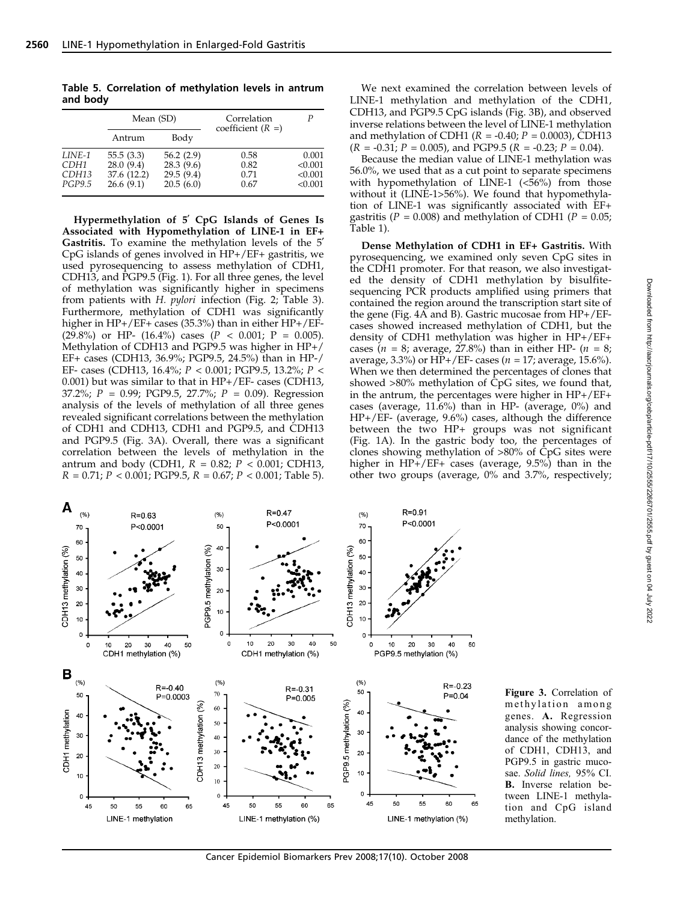Table 5. Correlation of methylation levels in antrum and body

|                                   | Mean (SD)                                          |                                                  | Correlation<br>coefficient $(R =)$ |                                        |
|-----------------------------------|----------------------------------------------------|--------------------------------------------------|------------------------------------|----------------------------------------|
|                                   | Antrum                                             | Body                                             |                                    |                                        |
| LINE-1<br>CDH1<br>CDH13<br>PGP9.5 | 55.5(3.3)<br>28.0(9.4)<br>37.6 (12.2)<br>26.6(9.1) | 56.2(2.9)<br>28.3(9.6)<br>29.5(9.4)<br>20.5(6.0) | 0.58<br>0.82<br>0.71<br>0.67       | 0.001<br>< 0.001<br>< 0.001<br>< 0.001 |

Hypermethylation of 5' CpG Islands of Genes Is Associated with Hypomethylation of LINE-1 in EF+ Gastritis. To examine the methylation levels of the 5<sup>'</sup> CpG islands of genes involved in HP+/EF+ gastritis, we used pyrosequencing to assess methylation of CDH1, CDH13, and PGP9.5 (Fig. 1). For all three genes, the level of methylation was significantly higher in specimens from patients with H. pylori infection (Fig. 2; Table 3). Furthermore, methylation of CDH1 was significantly higher in HP+/EF+ cases (35.3%) than in either HP+/EF-  $(29.8\%)$  or HP-  $(16.4\%)$  cases  $(P < 0.001; P = 0.005)$ . Methylation of CDH13 and PGP9.5 was higher in HP+/ EF+ cases (CDH13, 36.9%; PGP9.5, 24.5%) than in HP-/ EF- cases (CDH13, 16.4%; P < 0.001; PGP9.5, 13.2%; P < 0.001) but was similar to that in HP+/EF- cases (CDH13, 37.2%;  $P = 0.99$ ; PGP9.5, 27.7%;  $P = 0.09$ ). Regression analysis of the levels of methylation of all three genes revealed significant correlations between the methylation of CDH1 and CDH13, CDH1 and PGP9.5, and CDH13 and PGP9.5 (Fig. 3A). Overall, there was a significant correlation between the levels of methylation in the antrum and body (CDH1,  $R = 0.82$ ;  $P < 0.001$ ; CDH13,  $R = 0.71$ ;  $P < 0.001$ ; PGP9.5,  $R = 0.67$ ;  $P < 0.001$ ; Table 5).

We next examined the correlation between levels of LINE-1 methylation and methylation of the CDH1, CDH13, and PGP9.5 CpG islands (Fig. 3B), and observed inverse relations between the level of LINE-1 methylation and methylation of CDH1 ( $R = -0.40; P = 0.0003$ ), CDH13  $(R = -0.31; P = 0.005)$ , and PGP9.5  $(R = -0.23; P = 0.04)$ .

Because the median value of LINE-1 methylation was 56.0%, we used that as a cut point to separate specimens with hypomethylation of LINE-1 (<56%) from those without it (LINE-1>56%). We found that hypomethylation of LINE-1 was significantly associated with EF+ gastritis ( $P = 0.008$ ) and methylation of CDH1 ( $P = 0.05$ ; Table 1).

Dense Methylation of CDH1 in EF+ Gastritis. With pyrosequencing, we examined only seven CpG sites in the CDH1 promoter. For that reason, we also investigated the density of CDH1 methylation by bisulfitesequencing PCR products amplified using primers that contained the region around the transcription start site of the gene (Fig. 4A and B). Gastric mucosae from HP+/EFcases showed increased methylation of CDH1, but the density of CDH1 methylation was higher in HP+/EF+ cases ( $n = 8$ ; average, 27.8%) than in either HP- ( $n = 8$ ; average, 3.3%) or HP+/EF- cases ( $n = 17$ ; average, 15.6%). When we then determined the percentages of clones that showed  $>80\%$  methylation of  $\hat{C}pG$  sites, we found that, in the antrum, the percentages were higher in HP+/EF+ cases (average, 11.6%) than in HP- (average, 0%) and HP+/EF- (average, 9.6%) cases, although the difference between the two HP+ groups was not significant (Fig. 1A). In the gastric body too, the percentages of clones showing methylation of >80% of CpG sites were higher in HP+/EF+ cases (average, 9.5%) than in the other two groups (average, 0% and 3.7%, respectively;



Figure 3. Correlation of methylation among genes. A. Regression analysis showing concordance of the methylation of CDH1, CDH13, and PGP9.5 in gastric mucosae. Solid lines, 95% CI. B. Inverse relation between LINE-1 methylation and CpG island methylation.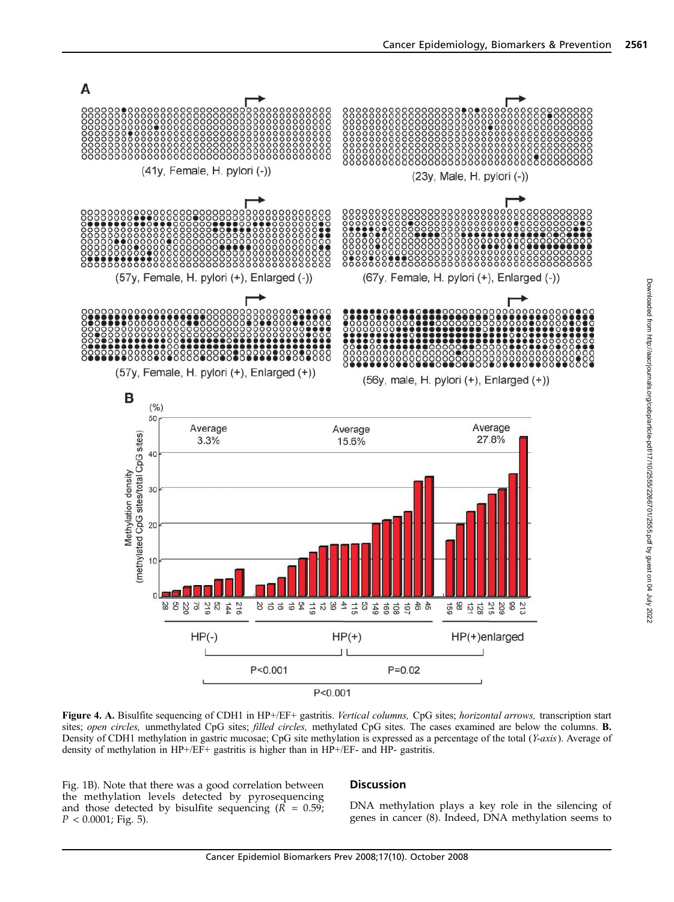

Figure 4. A. Bisulfite sequencing of CDH1 in HP+/EF+ gastritis. Vertical columns, CpG sites; horizontal arrows, transcription start sites; open circles, unmethylated CpG sites; filled circles, methylated CpG sites. The cases examined are below the columns. B. Density of CDH1 methylation in gastric mucosae; CpG site methylation is expressed as a percentage of the total (Y-axis). Average of density of methylation in HP+/EF+ gastritis is higher than in HP+/EF- and HP- gastritis.

Fig. 1B). Note that there was a good correlation between the methylation levels detected by pyrosequencing and those detected by bisulfite sequencing  $(R = 0.59)$ ;  $P < 0.0001$ ; Fig. 5).

## **Discussion**

DNA methylation plays a key role in the silencing of genes in cancer (8). Indeed, DNA methylation seems to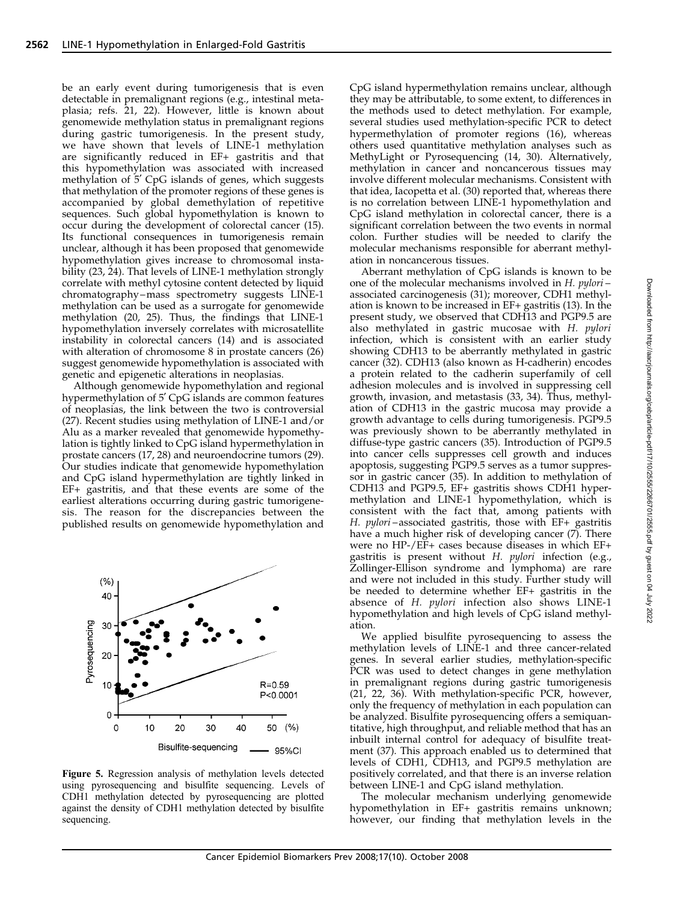be an early event during tumorigenesis that is even detectable in premalignant regions (e.g., intestinal metaplasia; refs. 21, 22). However, little is known about genomewide methylation status in premalignant regions during gastric tumorigenesis. In the present study, we have shown that levels of LINE-1 methylation are significantly reduced in EF+ gastritis and that this hypomethylation was associated with increased methylation of 5' CpG islands of genes, which suggests that methylation of the promoter regions of these genes is accompanied by global demethylation of repetitive sequences. Such global hypomethylation is known to occur during the development of colorectal cancer (15). Its functional consequences in tumorigenesis remain unclear, although it has been proposed that genomewide hypomethylation gives increase to chromosomal instability (23, 24). That levels of LINE-1 methylation strongly correlate with methyl cytosine content detected by liquid chromatography –mass spectrometry suggests LINE-1 methylation can be used as a surrogate for genomewide methylation (20, 25). Thus, the findings that LINE-1 hypomethylation inversely correlates with microsatellite instability in colorectal cancers (14) and is associated with alteration of chromosome 8 in prostate cancers (26) suggest genomewide hypomethylation is associated with genetic and epigenetic alterations in neoplasias.

Although genomewide hypomethylation and regional hypermethylation of 5' CpG islands are common features of neoplasias, the link between the two is controversial (27). Recent studies using methylation of LINE-1 and/or Alu as a marker revealed that genomewide hypomethylation is tightly linked to CpG island hypermethylation in prostate cancers (17, 28) and neuroendocrine tumors (29). Our studies indicate that genomewide hypomethylation and CpG island hypermethylation are tightly linked in EF+ gastritis, and that these events are some of the earliest alterations occurring during gastric tumorigenesis. The reason for the discrepancies between the published results on genomewide hypomethylation and



Figure 5. Regression analysis of methylation levels detected using pyrosequencing and bisulfite sequencing. Levels of CDH1 methylation detected by pyrosequencing are plotted against the density of CDH1 methylation detected by bisulfite sequencing.

CpG island hypermethylation remains unclear, although they may be attributable, to some extent, to differences in the methods used to detect methylation. For example, several studies used methylation-specific PCR to detect hypermethylation of promoter regions (16), whereas others used quantitative methylation analyses such as MethyLight or Pyrosequencing (14, 30). Alternatively, methylation in cancer and noncancerous tissues may involve different molecular mechanisms. Consistent with that idea, Iacopetta et al. (30) reported that, whereas there is no correlation between LINE-1 hypomethylation and CpG island methylation in colorectal cancer, there is a significant correlation between the two events in normal colon. Further studies will be needed to clarify the molecular mechanisms responsible for aberrant methylation in noncancerous tissues.

Aberrant methylation of CpG islands is known to be one of the molecular mechanisms involved in H. pylori – associated carcinogenesis (31); moreover, CDH1 methylation is known to be increased in EF+ gastritis (13). In the present study, we observed that CDH13 and PGP9.5 are also methylated in gastric mucosae with H. pylori infection, which is consistent with an earlier study showing CDH13 to be aberrantly methylated in gastric cancer (32). CDH13 (also known as H-cadherin) encodes a protein related to the cadherin superfamily of cell adhesion molecules and is involved in suppressing cell growth, invasion, and metastasis (33, 34). Thus, methylation of CDH13 in the gastric mucosa may provide a growth advantage to cells during tumorigenesis. PGP9.5 was previously shown to be aberrantly methylated in diffuse-type gastric cancers (35). Introduction of PGP9.5 into cancer cells suppresses cell growth and induces apoptosis, suggesting PGP9.5 serves as a tumor suppressor in gastric cancer (35). In addition to methylation of CDH13 and PGP9.5, EF+ gastritis shows CDH1 hypermethylation and LINE-1 hypomethylation, which is consistent with the fact that, among patients with H. pylori-associated gastritis, those with EF+ gastritis have a much higher risk of developing cancer (7). There were no HP-/EF+ cases because diseases in which EF+ gastritis is present without H. pylori infection (e.g., Zollinger-Ellison syndrome and lymphoma) are rare and were not included in this study. Further study will be needed to determine whether EF+ gastritis in the absence of H. *pylori* infection also shows LINE-1 hypomethylation and high levels of CpG island methylation.

We applied bisulfite pyrosequencing to assess the methylation levels of LINE-1 and three cancer-related genes. In several earlier studies, methylation-specific PCR was used to detect changes in gene methylation in premalignant regions during gastric tumorigenesis (21, 22, 36). With methylation-specific PCR, however, only the frequency of methylation in each population can be analyzed. Bisulfite pyrosequencing offers a semiquantitative, high throughput, and reliable method that has an inbuilt internal control for adequacy of bisulfite treatment (37). This approach enabled us to determined that levels of CDH1, CDH13, and PGP9.5 methylation are positively correlated, and that there is an inverse relation between LINE-1 and CpG island methylation.

The molecular mechanism underlying genomewide hypomethylation in EF+ gastritis remains unknown; however, our finding that methylation levels in the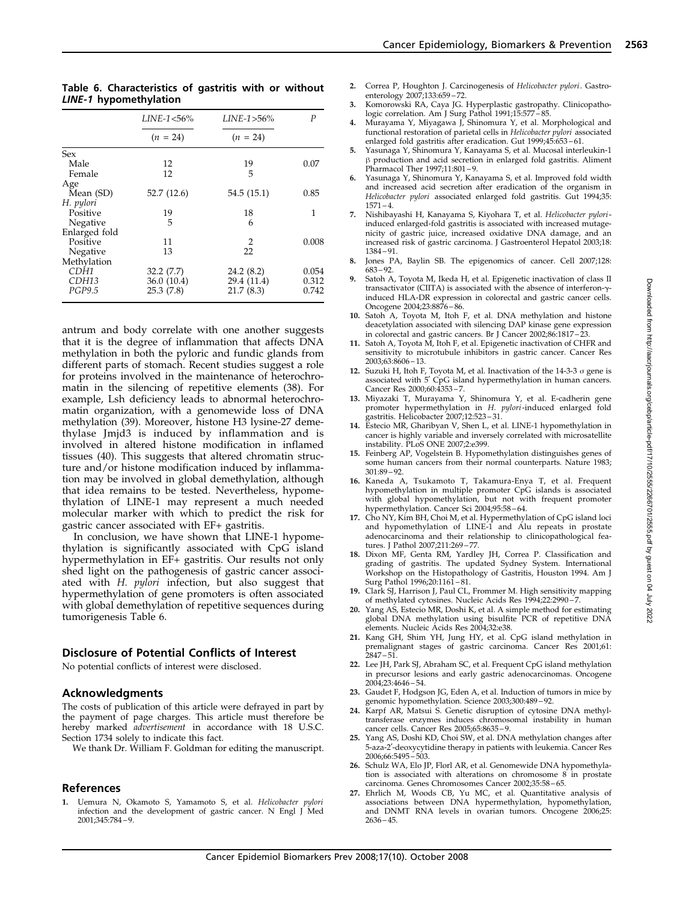| LINE-1 hypomethylation |                 |               |       |  |  |  |
|------------------------|-----------------|---------------|-------|--|--|--|
|                        | $LINE-1 < 56\%$ | $LINE-1>56\%$ | P     |  |  |  |
|                        | $(n = 24)$      | $(n = 24)$    |       |  |  |  |
| Sex                    |                 |               |       |  |  |  |
| Male                   | 12              | 19            | 0.07  |  |  |  |
| Female                 | 12              | 5             |       |  |  |  |
| Age                    |                 |               |       |  |  |  |
| Mean (SD)              | 52.7 (12.6)     | 54.5 (15.1)   | 0.85  |  |  |  |
| H. pylori              |                 |               |       |  |  |  |
| Positive               | 19              | 18            | 1     |  |  |  |
| Negative               | 5               | 6             |       |  |  |  |
| Enlarged fold          |                 |               |       |  |  |  |
| Positive               | 11              | 2             | 0.008 |  |  |  |
| Negative               | 13              | 22            |       |  |  |  |
| Methylation            |                 |               |       |  |  |  |
| CDH1                   | 32.2(7.7)       | 24.2 (8.2)    | 0.054 |  |  |  |
| CDH13                  | 36.0 (10.4)     | 29.4 (11.4)   | 0.312 |  |  |  |
| <b>PGP9.5</b>          | 25.3(7.8)       | 21.7(8.3)     | 0.742 |  |  |  |
|                        |                 |               |       |  |  |  |

Table 6. Characteristics of gastritis with or without

antrum and body correlate with one another suggests that it is the degree of inflammation that affects DNA methylation in both the pyloric and fundic glands from different parts of stomach. Recent studies suggest a role for proteins involved in the maintenance of heterochromatin in the silencing of repetitive elements (38). For example, Lsh deficiency leads to abnormal heterochromatin organization, with a genomewide loss of DNA methylation (39). Moreover, histone H3 lysine-27 demethylase Jmjd3 is induced by inflammation and is involved in altered histone modification in inflamed tissues (40). This suggests that altered chromatin structure and/or histone modification induced by inflammation may be involved in global demethylation, although that idea remains to be tested. Nevertheless, hypomethylation of LINE-1 may represent a much needed molecular marker with which to predict the risk for gastric cancer associated with EF+ gastritis.

In conclusion, we have shown that LINE-1 hypomethylation is significantly associated with CpG island hypermethylation in EF+ gastritis. Our results not only shed light on the pathogenesis of gastric cancer associated with H. pylori infection, but also suggest that hypermethylation of gene promoters is often associated with global demethylation of repetitive sequences during tumorigenesis Table 6.

# Disclosure of Potential Conflicts of Interest

No potential conflicts of interest were disclosed.

#### Acknowledgments

The costs of publication of this article were defrayed in part by the payment of page charges. This article must therefore be hereby marked *advertisement* in accordance with 18 U.S.C. Section 1734 solely to indicate this fact.

We thank Dr. William F. Goldman for editing the manuscript.

### References

Uemura N, Okamoto S, Yamamoto S, et al. Helicobacter pylori infection and the development of gastric cancer. N Engl J Med 2001;345:784 – 9.

- 2. Correa P, Houghton J. Carcinogenesis of Helicobacter pylori. Gastroenterology 2007;133:659 – 72.
- 3. Komorowski RA, Caya JG. Hyperplastic gastropathy. Clinicopatho-
- logic correlation. Am J Surg Pathol 1991;15:577 85. 4. Murayama Y, Miyagawa J, Shinomura Y, et al. Morphological and functional restoration of parietal cells in Helicobacter pylori associated enlarged fold gastritis after eradication. Gut 1999;45:653 – 61.
- 5. Yasunaga Y, Shinomura Y, Kanayama S, et al. Mucosal interleukin-1  $\beta$  production and acid secretion in enlarged fold gastritis. Aliment Pharmacol Ther 1997;11:801 – 9.
- Yasunaga Y, Shinomura Y, Kanayama S, et al. Improved fold width and increased acid secretion after eradication of the organism in Helicobacter pylori associated enlarged fold gastritis. Gut 1994;35:  $1571 - 4$
- 7. Nishibayashi H, Kanayama S, Kiyohara T, et al. Helicobacter pyloriinduced enlarged-fold gastritis is associated with increased mutagenicity of gastric juice, increased oxidative DNA damage, and an increased risk of gastric carcinoma. J Gastroenterol Hepatol 2003;18: 1384 – 91.
- 8. Jones PA, Baylin SB. The epigenomics of cancer. Cell 2007;128: 683 – 92.
- 9. Satoh A, Toyota M, Ikeda H, et al. Epigenetic inactivation of class II transactivator (CIITA) is associated with the absence of interferon-ginduced HLA-DR expression in colorectal and gastric cancer cells. Oncogene 2004;23:8876 – 86.
- 10. Satoh A, Toyota M, Itoh F, et al. DNA methylation and histone deacetylation associated with silencing DAP kinase gene expression
- in colorectal and gastric cancers. Br J Cancer 2002;86:1817 23. 11. Satoh A, Toyota M, Itoh F, et al. Epigenetic inactivation of CHFR and sensitivity to microtubule inhibitors in gastric cancer. Cancer Res 2003;63:8606 – 13.
- 12. Suzuki H, Itoh F, Toyota M, et al. Inactivation of the  $14-3-3$   $\sigma$  gene is associated with 5' CpG island hypermethylation in human cancers. Cancer Res 2000;60:4353 – 7.
- 13. Miyazaki T, Murayama Y, Shinomura Y, et al. E-cadherin gene promoter hypermethylation in H. pylori-induced enlarged fold
- gastritis. Helicobacter 2007;12:523 31. 14. Estecio MR, Gharibyan V, Shen L, et al. LINE-1 hypomethylation in cancer is highly variable and inversely correlated with microsatellite instability. PLoS ONE 2007;2:e399.
- 15. Feinberg AP, Vogelstein B. Hypomethylation distinguishes genes of some human cancers from their normal counterparts. Nature 1983; 301:89 – 92.
- 16. Kaneda A, Tsukamoto T, Takamura-Enya T, et al. Frequent hypomethylation in multiple promoter CpG islands is associated with global hypomethylation, but not with frequent promoter hypermethylation. Cancer Sci 2004;95:58 – 64.
- 17. Cho NY, Kim BH, Choi M, et al. Hypermethylation of CpG island loci and hypomethylation of LINE-1 and Alu repeats in prostate adenocarcinoma and their relationship to clinicopathological fea-tures. J Pathol 2007;211:269 – 77.
- 18. Dixon MF, Genta RM, Yardley JH, Correa P. Classification and grading of gastritis. The updated Sydney System. International Workshop on the Histopathology of Gastritis, Houston 1994. Am J Surg Pathol 1996;20:1161 – 81.
- 19. Clark SJ, Harrison J, Paul CL, Frommer M. High sensitivity mapping of methylated cytosines. Nucleic Acids Res 1994;22:2990 – 7.
- 20. Yang AS, Estecio MR, Doshi K, et al. A simple method for estimating global DNA methylation using bisulfite PCR of repetitive DNA elements. Nucleic Acids Res 2004;32:e38.
- 21. Kang GH, Shim YH, Jung HY, et al. CpG island methylation in premalignant stages of gastric carcinoma. Cancer Res 2001;61: 2847 – 51.
- 22. Lee JH, Park SJ, Abraham SC, et al. Frequent CpG island methylation in precursor lesions and early gastric adenocarcinomas. Oncogene 2004;23:4646 – 54.
- 23. Gaudet F, Hodgson JG, Eden A, et al. Induction of tumors in mice by genomic hypomethylation. Science 2003;300:489 – 92.
- 24. Karpf AR, Matsui S. Genetic disruption of cytosine DNA methyltransferase enzymes induces chromosomal instability in human cancer cells. Cancer Res 2005;65:8635 – 9.
- 25. Yang AS, Doshi KD, Choi SW, et al. DNA methylation changes after 5-aza-2'-deoxycytidine therapy in patients with leukemia. Cancer Res 2006;66:5495 – 503.
- 26. Schulz WA, Elo JP, Florl AR, et al. Genomewide DNA hypomethylation is associated with alterations on chromosome 8 in prostate carcinoma. Genes Chromosomes Cancer 2002;35:58 – 65.
- 27. Ehrlich M, Woods CB, Yu MC, et al. Quantitative analysis of associations between DNA hypermethylation, hypomethylation, and DNMT RNA levels in ovarian tumors. Oncogene 2006;25:  $2636 - 45.$